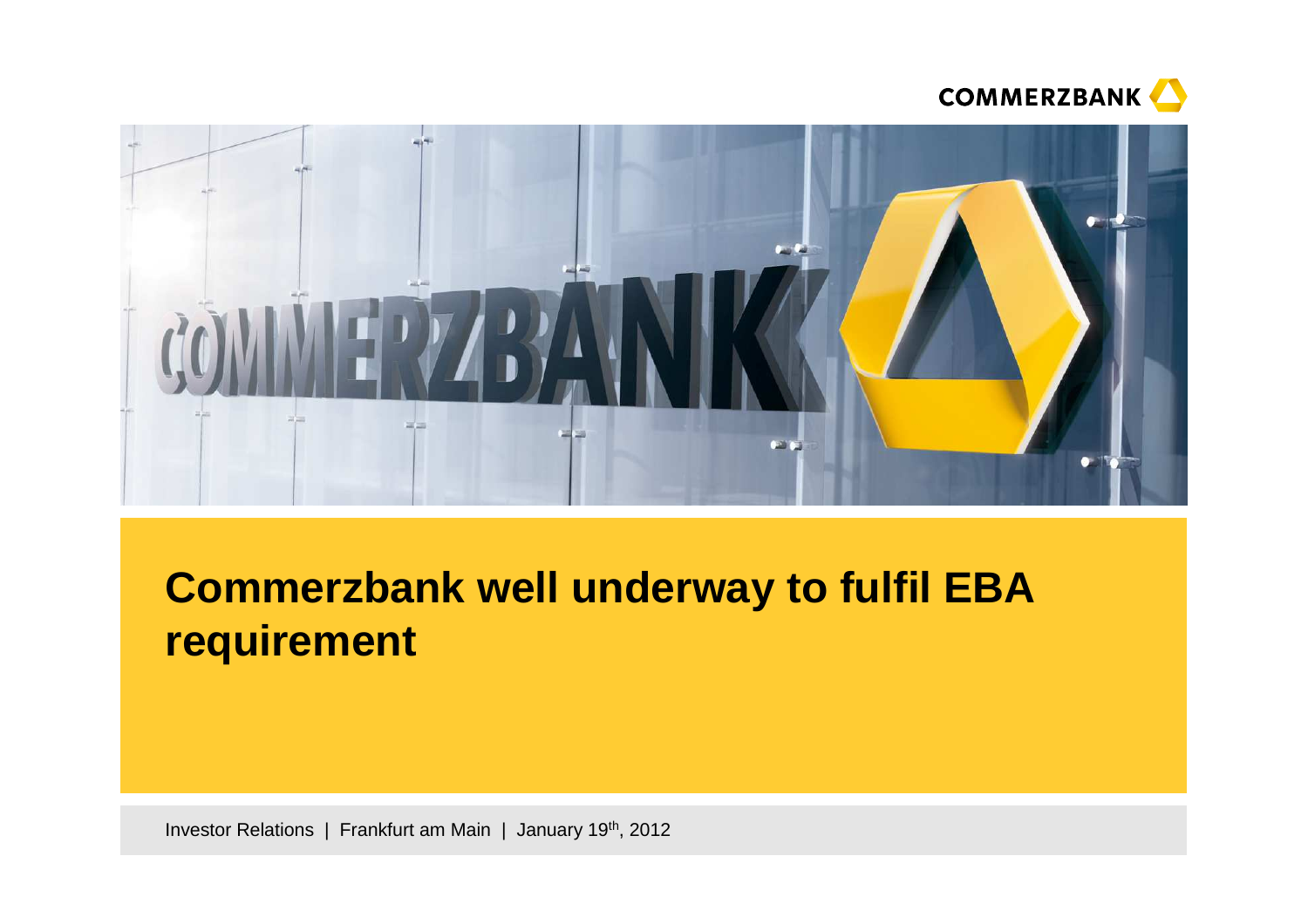



# **Commerzbank well underway to fulfil EBA requirement**

Investor Relations | Frankfurt am Main | January 19<sup>th</sup>, 2012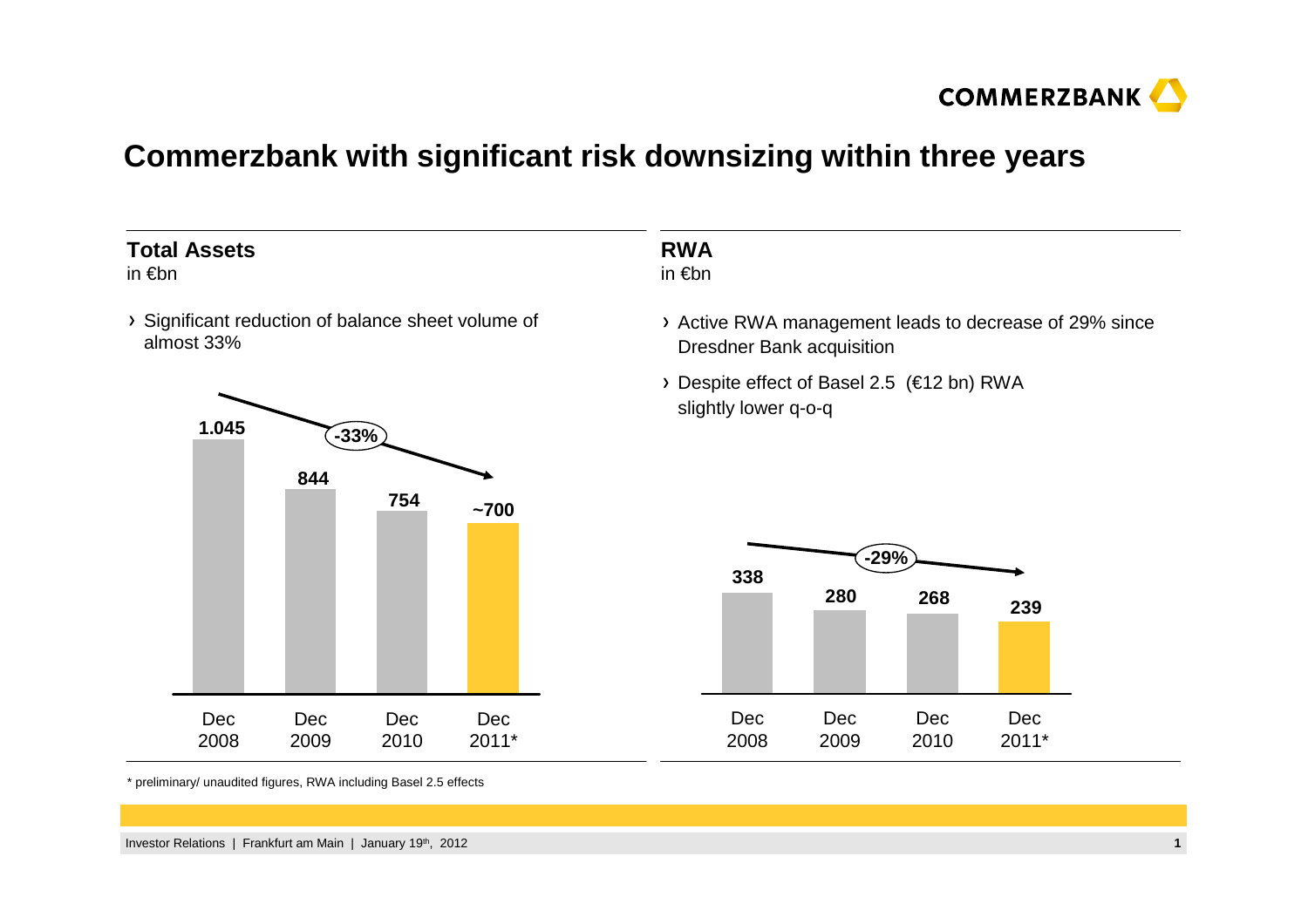

#### **Commerzbank with significant risk downsizing within three years**

#### **Total Assets**

in €bn

Significant reduction of balance sheet volume of almost 33%



#### **RWA**in €bn

Active RWA management leads to decrease of 29% since Dresdner Bank acquisition

Despite effect of Basel 2.5 (€12 bn) RWA slightly lower q-o-q



\* preliminary/ unaudited figures, RWA including Basel 2.5 effects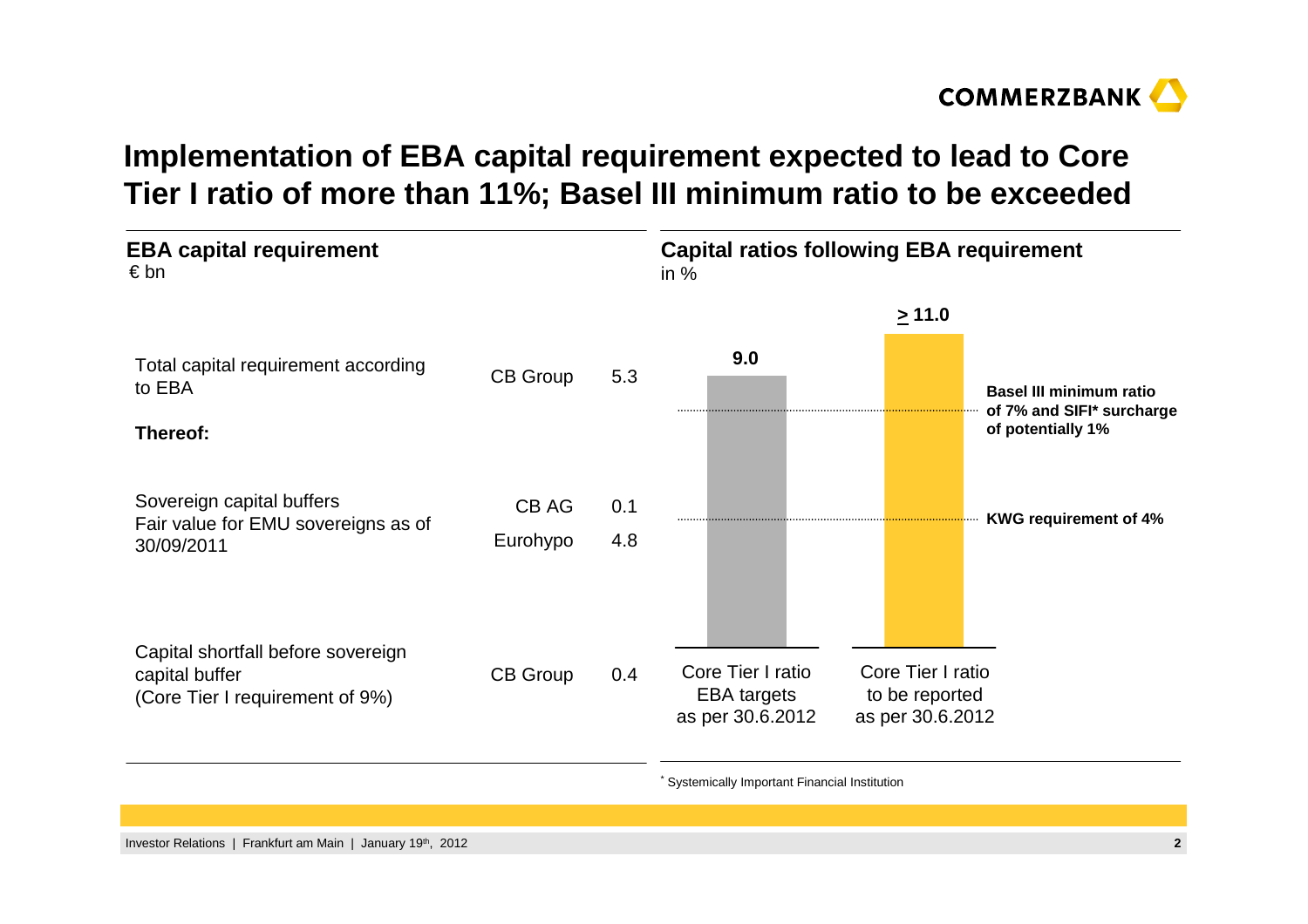

### **Implementation of EBA capital requirement expected to lead to Core Tier I ratio of more than 11%; Basel III minimum ratio to be exceeded**



Systemically Important Financial Institution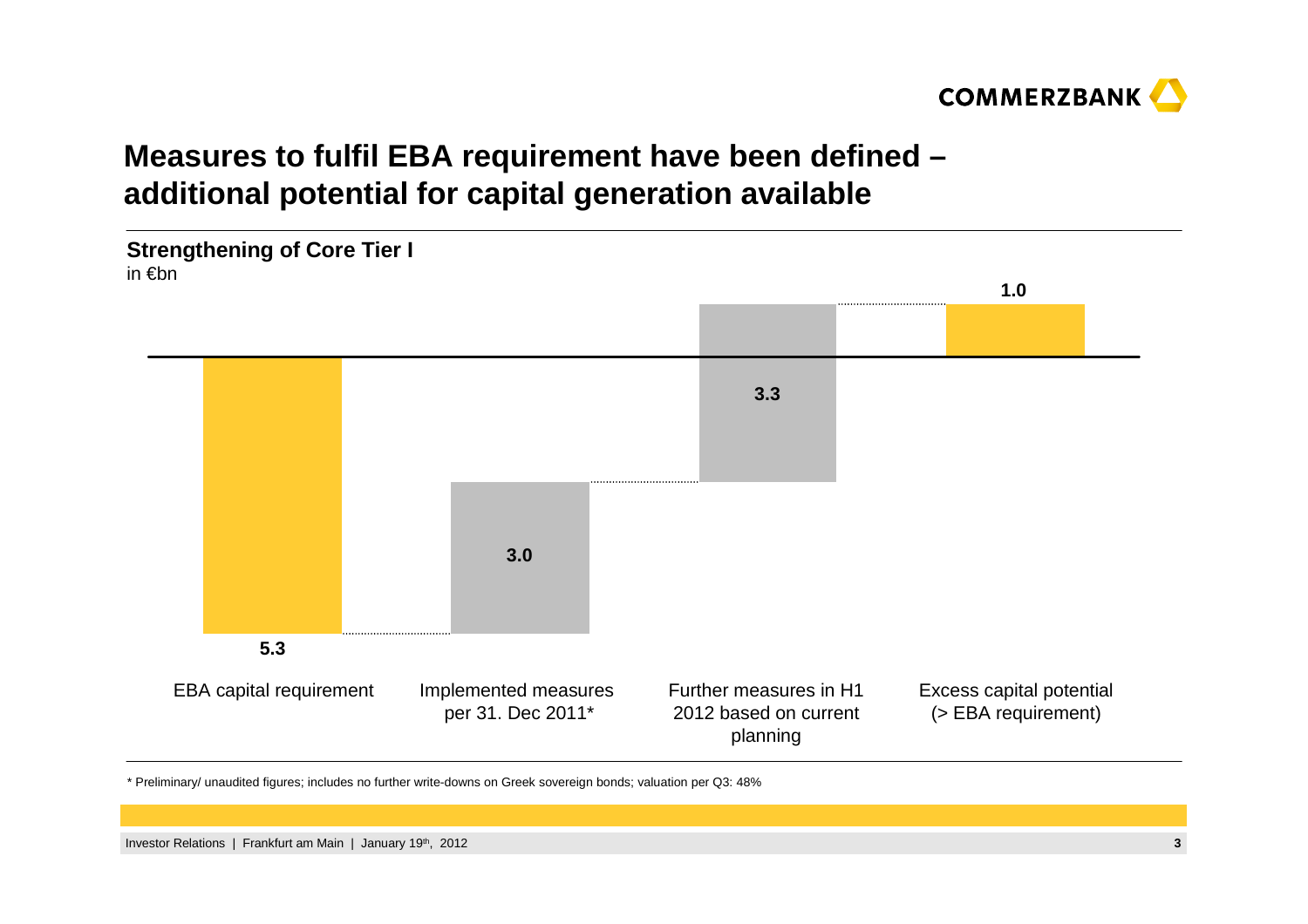

### **Measures to fulfil EBA requirement have been defined –additional potential for capital generation available**



\* Preliminary/ unaudited figures; includes no further write-downs on Greek sovereign bonds; valuation per Q3: 48%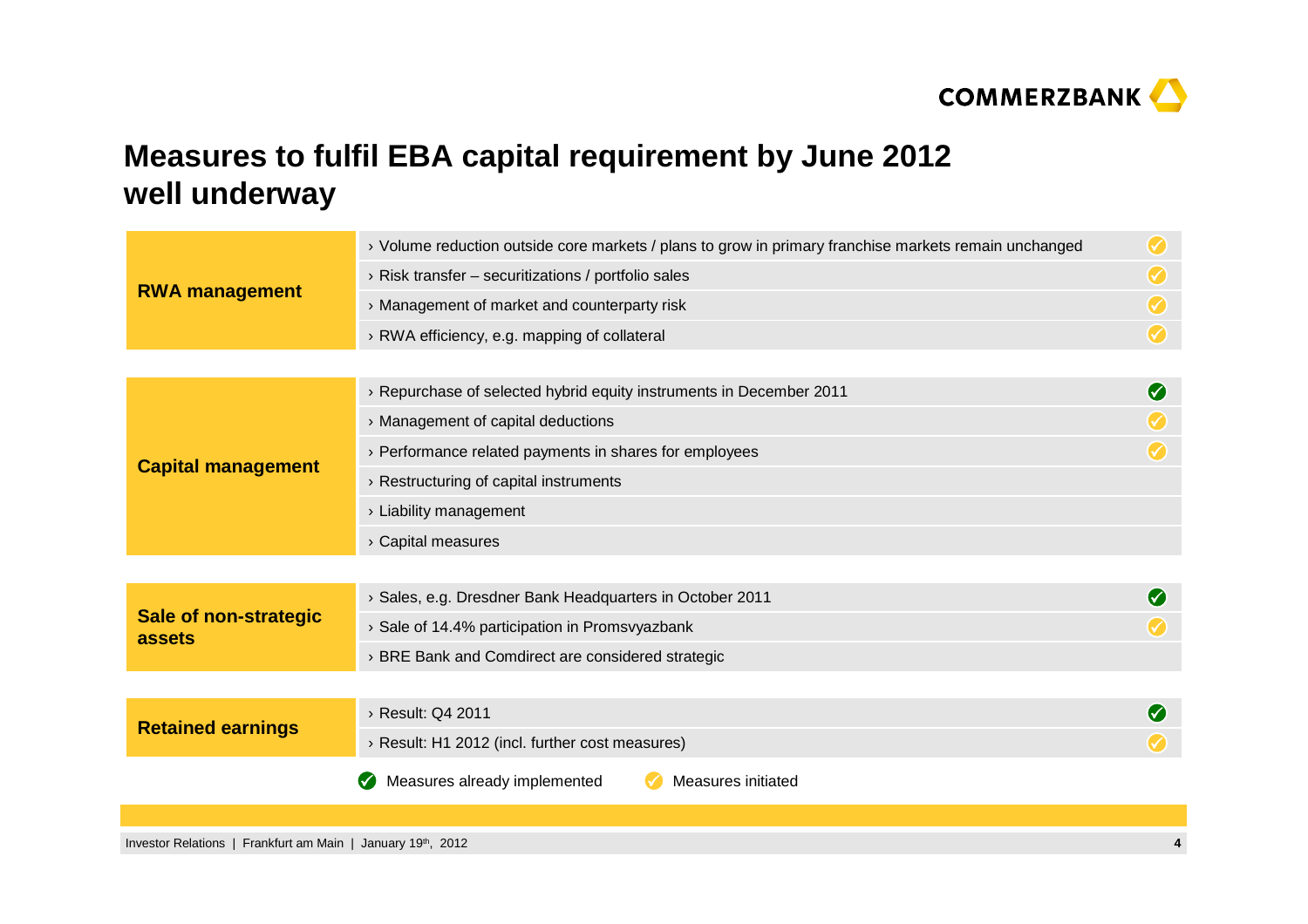

## **Measures to fulfil EBA capital requirement by June 2012well underway**

| <b>RWA management</b>                  | > Volume reduction outside core markets / plans to grow in primary franchise markets remain unchanged | $\left(\checkmark\right)$ |
|----------------------------------------|-------------------------------------------------------------------------------------------------------|---------------------------|
|                                        | $\rightarrow$ Risk transfer – securitizations / portfolio sales                                       |                           |
|                                        | > Management of market and counterparty risk                                                          |                           |
|                                        | > RWA efficiency, e.g. mapping of collateral                                                          | $\bm{\mathcal{G}}$        |
|                                        |                                                                                                       |                           |
| <b>Capital management</b>              | > Repurchase of selected hybrid equity instruments in December 2011                                   | Ø                         |
|                                        | > Management of capital deductions                                                                    |                           |
|                                        | > Performance related payments in shares for employees                                                |                           |
|                                        | > Restructuring of capital instruments                                                                |                           |
|                                        | $\rightarrow$ Liability management                                                                    |                           |
|                                        | > Capital measures                                                                                    |                           |
|                                        |                                                                                                       |                           |
| <b>Sale of non-strategic</b><br>assets | > Sales, e.g. Dresdner Bank Headquarters in October 2011                                              | (V)                       |
|                                        | > Sale of 14.4% participation in Promsvyazbank                                                        |                           |
|                                        | > BRE Bank and Comdirect are considered strategic                                                     |                           |
|                                        |                                                                                                       |                           |
| <b>Retained earnings</b>               | > Result: Q4 2011                                                                                     |                           |
|                                        | > Result: H1 2012 (incl. further cost measures)                                                       |                           |
|                                        | Measures already implemented<br>Measures initiated                                                    |                           |
|                                        |                                                                                                       |                           |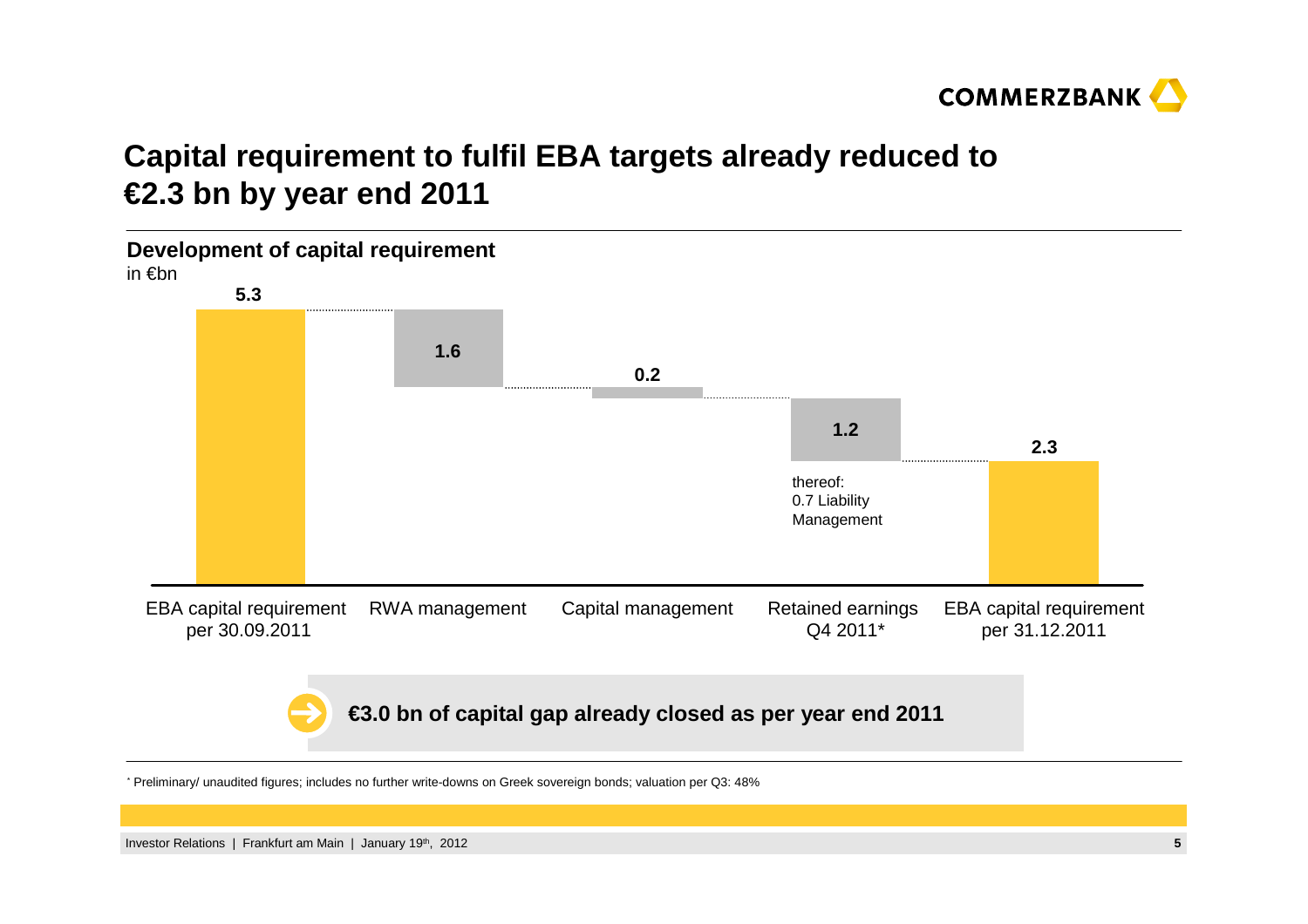

### **Capital requirement to fulfil EBA targets already reduced to€2.3 bn by year end 2011**



\* Preliminary/ unaudited figures; includes no further write-downs on Greek sovereign bonds; valuation per Q3: 48%

Investor Relations | Frankfurt am Main | January 19th, 2012**<sup>5</sup>**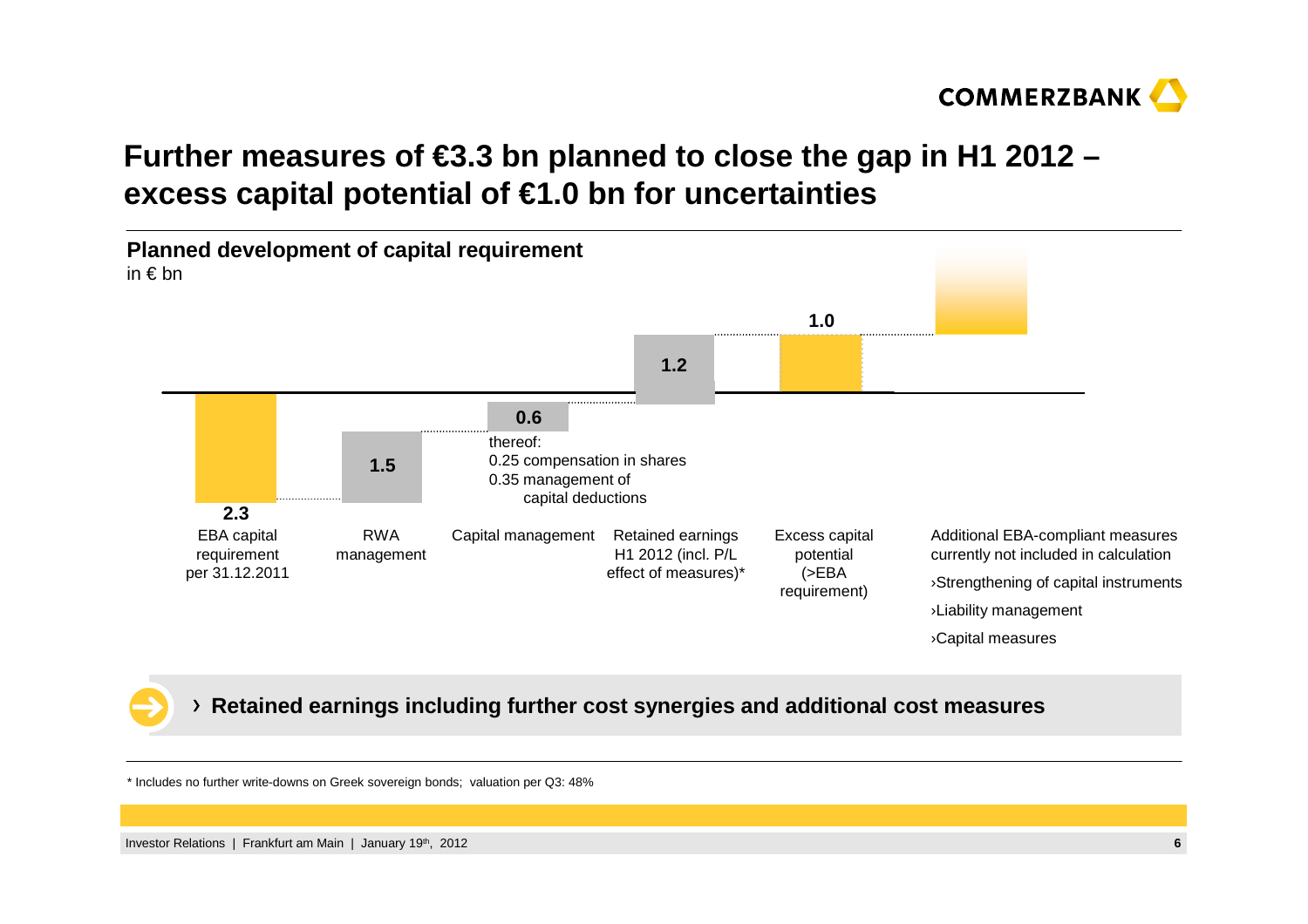

## **Further measures of €3.3 bn planned to close the gap in H1 2012 –excess capital potential of €1.0 bn for uncertainties**



#### **Retained earnings including further cost synergies and additional cost measures**

\* Includes no further write-downs on Greek sovereign bonds; valuation per Q3: 48%

Investor Relations | Frankfurt am Main | January 19th, 2012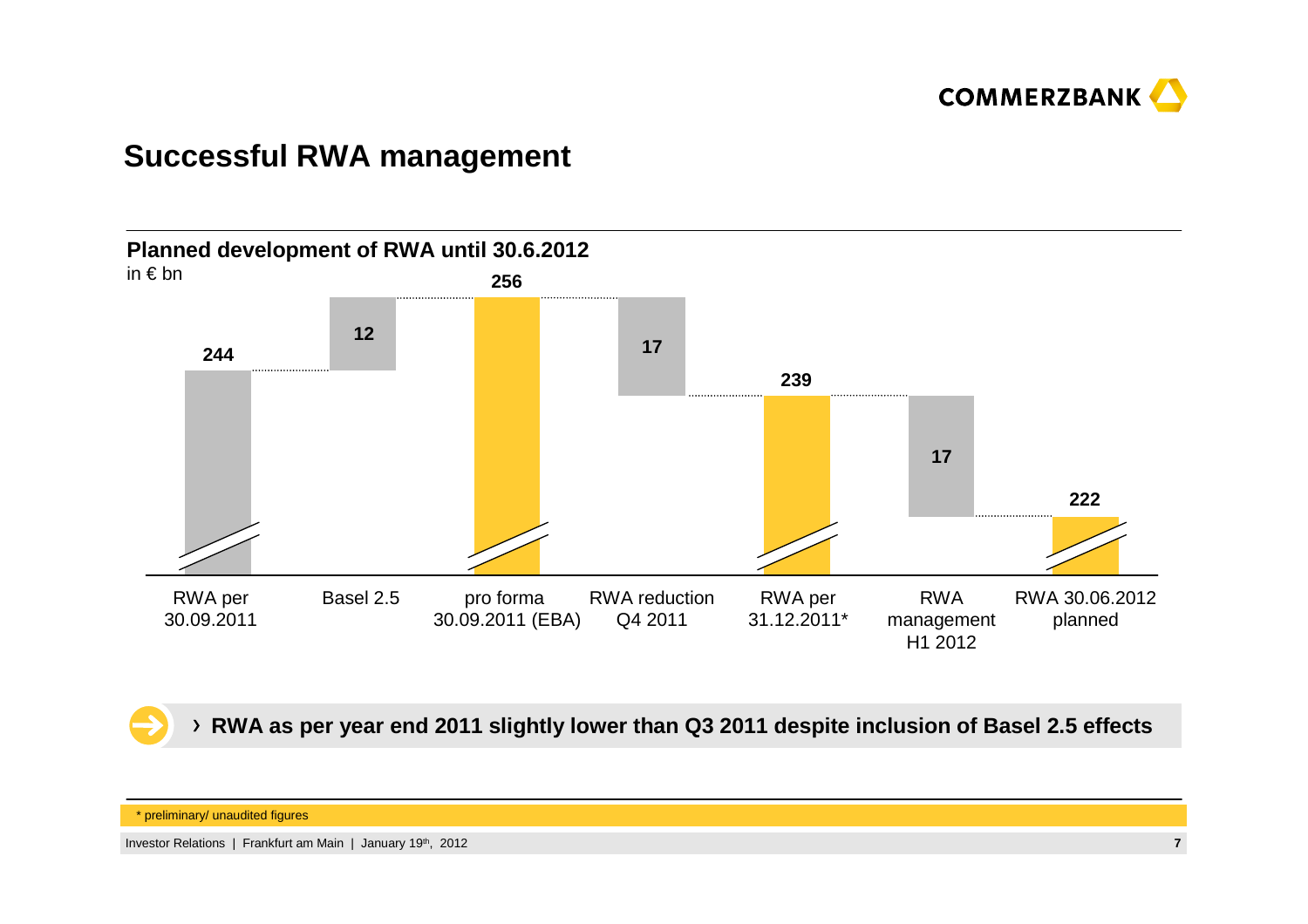

#### **Successful RWA management**



**RWA as per year end 2011 slightly lower than Q3 2011 despite inclusion of Basel 2.5 effects**

<sup>\*</sup> preliminary/ unaudited figures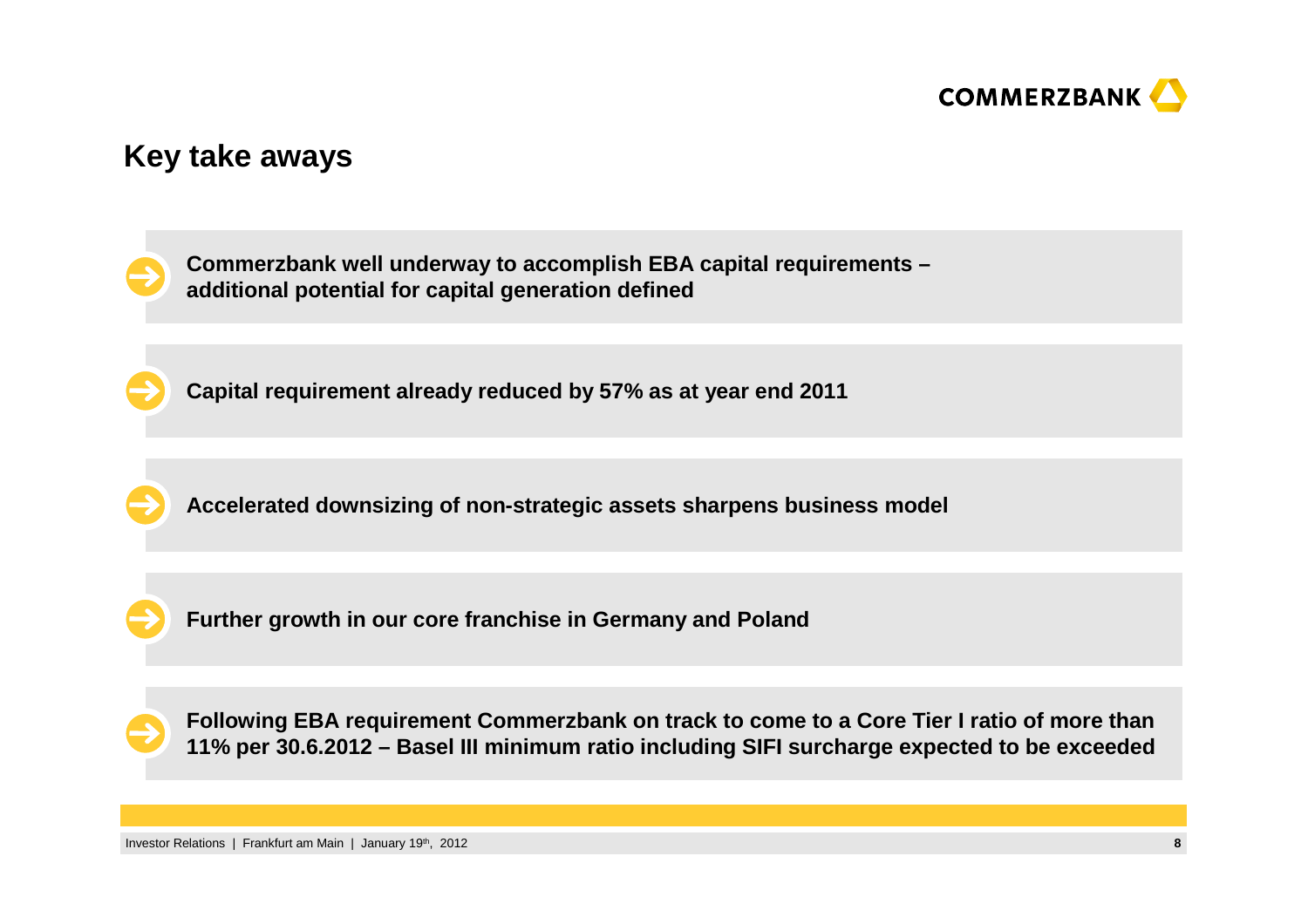

#### **Key take aways**

**Commerzbank well underway to accomplish EBA capital requirements –additional potential for capital generation defined**

**Capital requirement already reduced by 57% as at year end 2011**

**Accelerated downsizing of non-strategic assets sharpens business model** 

**Further growth in our core franchise in Germany and Poland**

**Following EBA requirement Commerzbank on track to come to a Core Tier I ratio of more than 11% per 30.6.2012 – Basel III minimum ratio including SIFI surcharge expected to be exceeded**